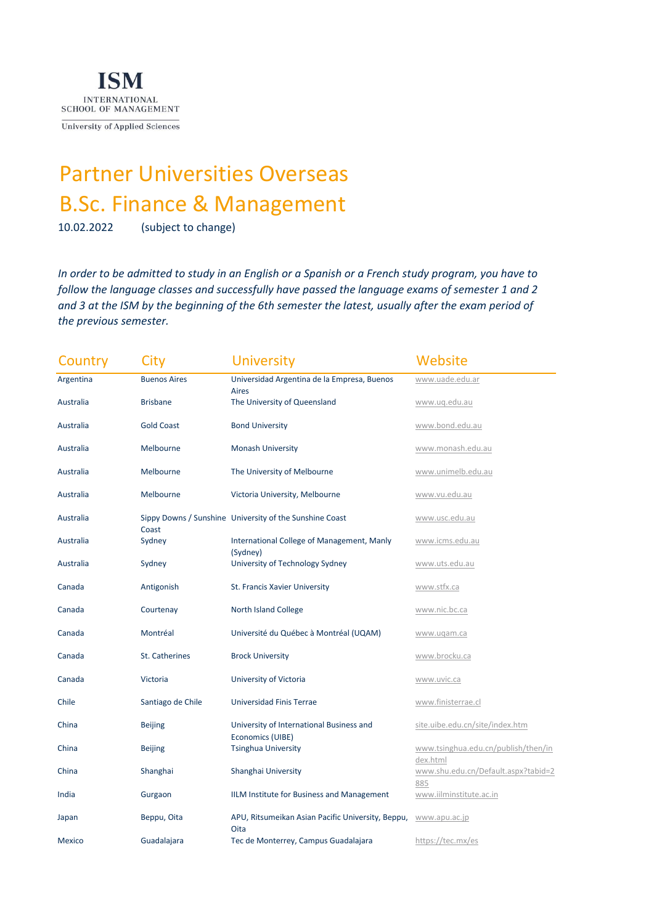

University of Applied Sciences

## Partner Universities Overseas [B.Sc. Finance & Management](https://ism.de/studium-vollzeit/bachelor/finance-studium)

10.02.2022 (subject to change)

*In order to be admitted to study in an English or a Spanish or a French study program, you have to follow the language classes and successfully have passed the language exams of semester 1 and 2 and 3 at the ISM by the beginning of the 6th semester the latest, usually after the exam period of the previous semester.* 

| Country       | City                  | <b>University</b>                                           | Website                                         |
|---------------|-----------------------|-------------------------------------------------------------|-------------------------------------------------|
| Argentina     | <b>Buenos Aires</b>   | Universidad Argentina de la Empresa, Buenos<br><b>Aires</b> | www.uade.edu.ar                                 |
| Australia     | <b>Brisbane</b>       | The University of Queensland                                | www.uq.edu.au                                   |
| Australia     | <b>Gold Coast</b>     | <b>Bond University</b>                                      | www.bond.edu.au                                 |
| Australia     | Melbourne             | <b>Monash University</b>                                    | www.monash.edu.au                               |
| Australia     | Melbourne             | The University of Melbourne                                 | www.unimelb.edu.au                              |
| Australia     | Melbourne             | Victoria University, Melbourne                              | www.vu.edu.au                                   |
| Australia     |                       | Sippy Downs / Sunshine University of the Sunshine Coast     | www.usc.edu.au                                  |
| Australia     | Coast<br>Sydney       | International College of Management, Manly                  | www.icms.edu.au                                 |
| Australia     | Sydney                | (Sydney)<br>University of Technology Sydney                 | www.uts.edu.au                                  |
| Canada        | Antigonish            | St. Francis Xavier University                               | www.stfx.ca                                     |
| Canada        | Courtenay             | <b>North Island College</b>                                 | www.nic.bc.ca                                   |
| Canada        | Montréal              | Université du Québec à Montréal (UQAM)                      | www.uqam.ca                                     |
| Canada        | <b>St. Catherines</b> | <b>Brock University</b>                                     | www.brocku.ca                                   |
| Canada        | Victoria              | University of Victoria                                      | www.uvic.ca                                     |
| Chile         | Santiago de Chile     | Universidad Finis Terrae                                    | www.finisterrae.cl                              |
| China         | <b>Beijing</b>        | University of International Business and                    | site.uibe.edu.cn/site/index.htm                 |
| China         | <b>Beijing</b>        | Economics (UIBE)<br><b>Tsinghua University</b>              | www.tsinghua.edu.cn/publish/then/in             |
| China         | Shanghai              | Shanghai University                                         | dex.html<br>www.shu.edu.cn/Default.aspx?tabid=2 |
| India         | Gurgaon               | IILM Institute for Business and Management                  | 885<br>www.iilminstitute.ac.in                  |
| Japan         | Beppu, Oita           | APU, Ritsumeikan Asian Pacific University, Beppu,<br>Oita   | www.apu.ac.jp                                   |
| <b>Mexico</b> | Guadalajara           | Tec de Monterrey, Campus Guadalajara                        | https://tec.mx/es                               |